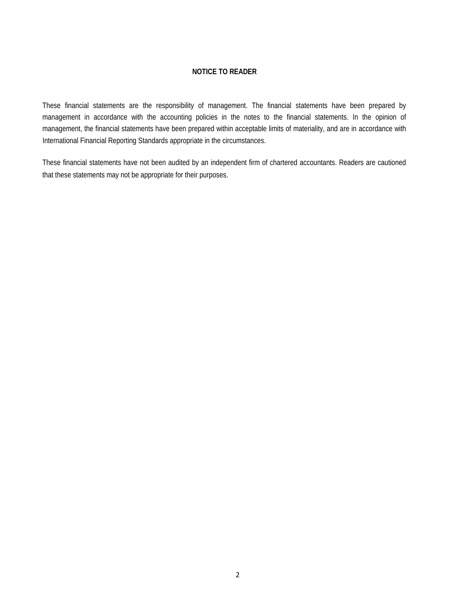### **NOTICE TO READER**

These financial statements are the responsibility of management. The financial statements have been prepared by management in accordance with the accounting policies in the notes to the financial statements. In the opinion of management, the financial statements have been prepared within acceptable limits of materiality, and are in accordance with International Financial Reporting Standards appropriate in the circumstances.

These financial statements have not been audited by an independent firm of chartered accountants. Readers are cautioned that these statements may not be appropriate for their purposes.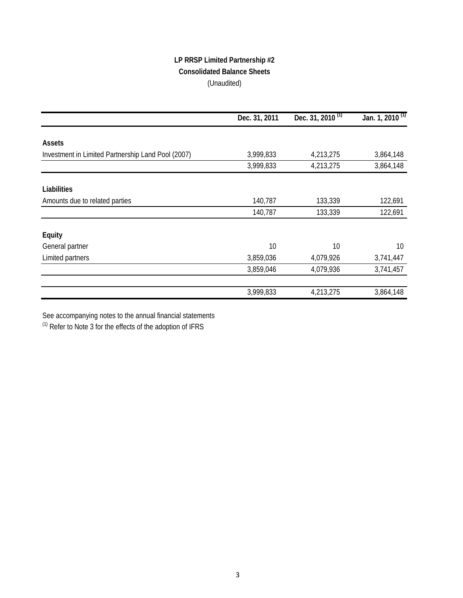# **LP RRSP Limited Partnership #2 Consolidated Balance Sheets** (Unaudited)

|                                                    | Dec. 31, 2011 | Dec. 31, $2010^{(1)}$ | Jan. 1, 2010 <sup>(1)</sup> |
|----------------------------------------------------|---------------|-----------------------|-----------------------------|
| <b>Assets</b>                                      |               |                       |                             |
|                                                    |               |                       |                             |
| Investment in Limited Partnership Land Pool (2007) | 3,999,833     | 4,213,275             | 3,864,148                   |
|                                                    | 3,999,833     | 4,213,275             | 3,864,148                   |
| Liabilities                                        |               |                       |                             |
| Amounts due to related parties                     | 140,787       | 133,339               | 122,691                     |
|                                                    | 140,787       | 133,339               | 122,691                     |
| Equity                                             |               |                       |                             |
| General partner                                    | 10            | 10                    | 10                          |
| Limited partners                                   | 3,859,036     | 4,079,926             | 3,741,447                   |
|                                                    | 3,859,046     | 4,079,936             | 3,741,457                   |
|                                                    |               |                       |                             |
|                                                    | 3,999,833     | 4,213,275             | 3,864,148                   |

See accompanying notes to the annual financial statements

 $(1)$  Refer to Note 3 for the effects of the adoption of IFRS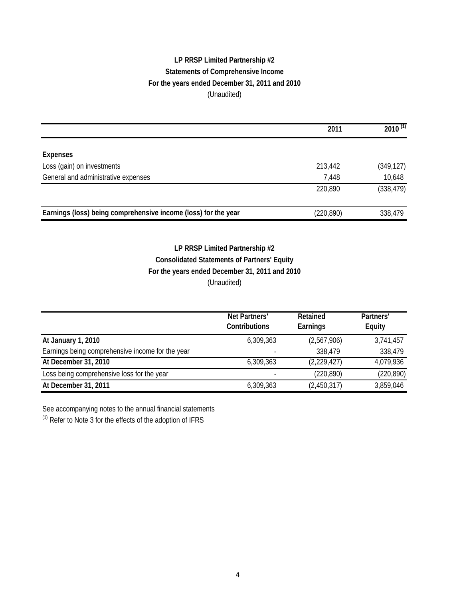# **LP RRSP Limited Partnership #2 Statements of Comprehensive Income For the years ended December 31, 2011 and 2010** (Unaudited)

|                                                                | 2011       | $2010^{(1)}$ |
|----------------------------------------------------------------|------------|--------------|
|                                                                |            |              |
| <b>Expenses</b>                                                |            |              |
| Loss (gain) on investments                                     | 213,442    | (349, 127)   |
| General and administrative expenses                            | 7,448      | 10,648       |
|                                                                | 220,890    | (338, 479)   |
| Earnings (loss) being comprehensive income (loss) for the year | (220, 890) | 338,479      |

# **LP RRSP Limited Partnership #2 Consolidated Statements of Partners' Equity For the years ended December 31, 2011 and 2010** (Unaudited)

|                                                  | Net Partners'<br><b>Contributions</b> | Retained<br>Earnings | Partners'<br><b>Equity</b> |
|--------------------------------------------------|---------------------------------------|----------------------|----------------------------|
| At January 1, 2010                               | 6,309,363                             | (2,567,906)          | 3,741,457                  |
| Earnings being comprehensive income for the year |                                       | 338,479              | 338,479                    |
| At December 31, 2010                             | 6,309,363                             | (2,229,427)          | 4,079,936                  |
| Loss being comprehensive loss for the year       |                                       | (220, 890)           | (220, 890)                 |
| At December 31, 2011                             | 6,309,363                             | (2,450,317)          | 3,859,046                  |

See accompanying notes to the annual financial statements

(1) Refer to Note 3 for the effects of the adoption of IFRS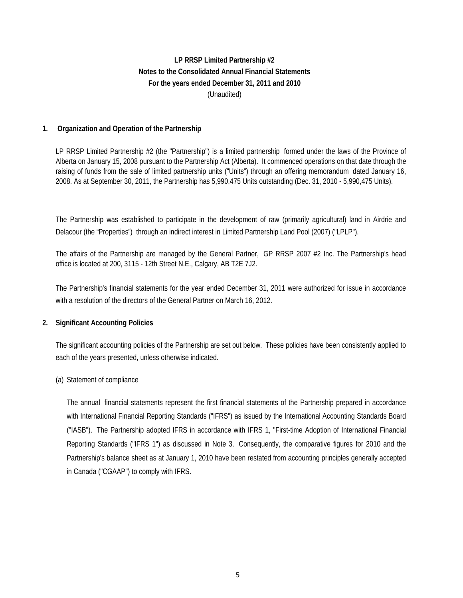## **Notes to the Consolidated Annual Financial Statements For the years ended December 31, 2011 and 2010** (Unaudited) **LP RRSP Limited Partnership #2**

## **1. Organization and Operation of the Partnership**

LP RRSP Limited Partnership #2 (the "Partnership") is a limited partnership formed under the laws of the Province of Alberta on January 15, 2008 pursuant to the Partnership Act (Alberta). It commenced operations on that date through the raising of funds from the sale of limited partnership units ("Units") through an offering memorandum dated January 16, 2008. As at September 30, 2011, the Partnership has 5,990,475 Units outstanding (Dec. 31, 2010 - 5,990,475 Units).

The Partnership was established to participate in the development of raw (primarily agricultural) land in Airdrie and Delacour (the "Properties") through an indirect interest in Limited Partnership Land Pool (2007) ("LPLP").

The affairs of the Partnership are managed by the General Partner, GP RRSP 2007 #2 Inc. The Partnership's head office is located at 200, 3115 - 12th Street N.E., Calgary, AB T2E 7J2.

The Partnership's financial statements for the year ended December 31, 2011 were authorized for issue in accordance with a resolution of the directors of the General Partner on March 16, 2012.

### **2. Significant Accounting Policies**

The significant accounting policies of the Partnership are set out below. These policies have been consistently applied to each of the years presented, unless otherwise indicated.

#### (a) Statement of compliance

The annual financial statements represent the first financial statements of the Partnership prepared in accordance with International Financial Reporting Standards ("IFRS") as issued by the International Accounting Standards Board ("IASB"). The Partnership adopted IFRS in accordance with IFRS 1, "First-time Adoption of International Financial Reporting Standards ("IFRS 1") as discussed in Note 3. Consequently, the comparative figures for 2010 and the Partnership's balance sheet as at January 1, 2010 have been restated from accounting principles generally accepted in Canada ("CGAAP") to comply with IFRS.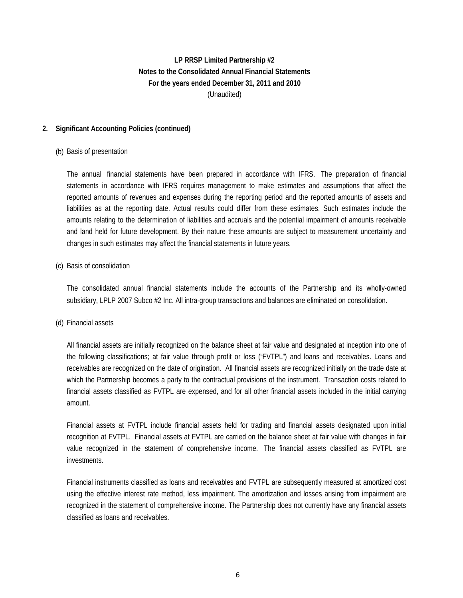## **2. Significant Accounting Policies (continued)**

### (b) Basis of presentation

The annual financial statements have been prepared in accordance with IFRS. The preparation of financial statements in accordance with IFRS requires management to make estimates and assumptions that affect the reported amounts of revenues and expenses during the reporting period and the reported amounts of assets and liabilities as at the reporting date. Actual results could differ from these estimates. Such estimates include the amounts relating to the determination of liabilities and accruals and the potential impairment of amounts receivable and land held for future development. By their nature these amounts are subject to measurement uncertainty and changes in such estimates may affect the financial statements in future years.

#### (c) Basis of consolidation

The consolidated annual financial statements include the accounts of the Partnership and its wholly-owned subsidiary, LPLP 2007 Subco #2 Inc. All intra-group transactions and balances are eliminated on consolidation.

#### (d) Financial assets

All financial assets are initially recognized on the balance sheet at fair value and designated at inception into one of the following classifications; at fair value through profit or loss ("FVTPL") and loans and receivables. Loans and receivables are recognized on the date of origination. All financial assets are recognized initially on the trade date at which the Partnership becomes a party to the contractual provisions of the instrument. Transaction costs related to financial assets classified as FVTPL are expensed, and for all other financial assets included in the initial carrying amount.

Financial assets at FVTPL include financial assets held for trading and financial assets designated upon initial recognition at FVTPL. Financial assets at FVTPL are carried on the balance sheet at fair value with changes in fair value recognized in the statement of comprehensive income. The financial assets classified as FVTPL are investments.

Financial instruments classified as loans and receivables and FVTPL are subsequently measured at amortized cost using the effective interest rate method, less impairment. The amortization and losses arising from impairment are recognized in the statement of comprehensive income. The Partnership does not currently have any financial assets classified as loans and receivables.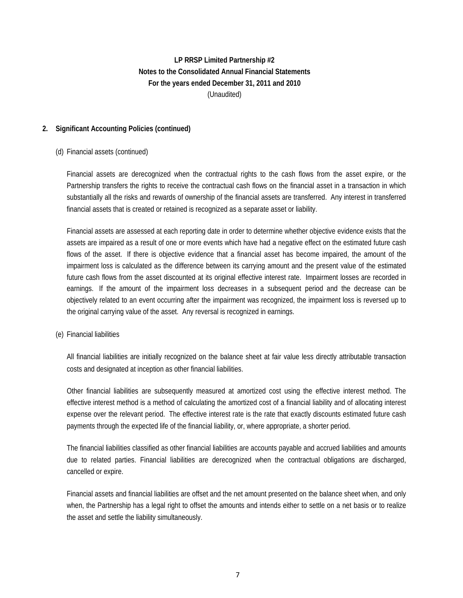## **2. Significant Accounting Policies (continued)**

#### (d) Financial assets (continued)

Financial assets are derecognized when the contractual rights to the cash flows from the asset expire, or the Partnership transfers the rights to receive the contractual cash flows on the financial asset in a transaction in which substantially all the risks and rewards of ownership of the financial assets are transferred. Any interest in transferred financial assets that is created or retained is recognized as a separate asset or liability.

Financial assets are assessed at each reporting date in order to determine whether objective evidence exists that the assets are impaired as a result of one or more events which have had a negative effect on the estimated future cash flows of the asset. If there is objective evidence that a financial asset has become impaired, the amount of the impairment loss is calculated as the difference between its carrying amount and the present value of the estimated future cash flows from the asset discounted at its original effective interest rate. Impairment losses are recorded in earnings. If the amount of the impairment loss decreases in a subsequent period and the decrease can be objectively related to an event occurring after the impairment was recognized, the impairment loss is reversed up to the original carrying value of the asset. Any reversal is recognized in earnings.

(e) Financial liabilities

All financial liabilities are initially recognized on the balance sheet at fair value less directly attributable transaction costs and designated at inception as other financial liabilities.

Other financial liabilities are subsequently measured at amortized cost using the effective interest method. The effective interest method is a method of calculating the amortized cost of a financial liability and of allocating interest expense over the relevant period. The effective interest rate is the rate that exactly discounts estimated future cash payments through the expected life of the financial liability, or, where appropriate, a shorter period.

The financial liabilities classified as other financial liabilities are accounts payable and accrued liabilities and amounts due to related parties. Financial liabilities are derecognized when the contractual obligations are discharged, cancelled or expire.

Financial assets and financial liabilities are offset and the net amount presented on the balance sheet when, and only when, the Partnership has a legal right to offset the amounts and intends either to settle on a net basis or to realize the asset and settle the liability simultaneously.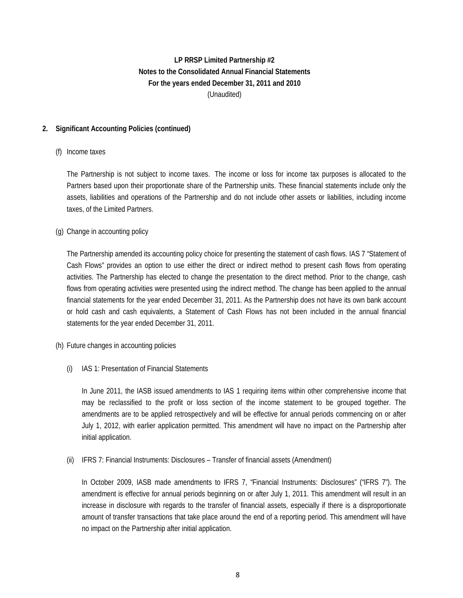## **2. Significant Accounting Policies (continued)**

#### (f) Income taxes

The Partnership is not subject to income taxes. The income or loss for income tax purposes is allocated to the Partners based upon their proportionate share of the Partnership units. These financial statements include only the assets, liabilities and operations of the Partnership and do not include other assets or liabilities, including income taxes, of the Limited Partners.

#### (g) Change in accounting policy

The Partnership amended its accounting policy choice for presenting the statement of cash flows. IAS 7 "Statement of Cash Flows" provides an option to use either the direct or indirect method to present cash flows from operating activities. The Partnership has elected to change the presentation to the direct method. Prior to the change, cash flows from operating activities were presented using the indirect method. The change has been applied to the annual financial statements for the year ended December 31, 2011. As the Partnership does not have its own bank account or hold cash and cash equivalents, a Statement of Cash Flows has not been included in the annual financial statements for the year ended December 31, 2011.

- (h) Future changes in accounting policies
	- (i) IAS 1: Presentation of Financial Statements

In June 2011, the IASB issued amendments to IAS 1 requiring items within other comprehensive income that may be reclassified to the profit or loss section of the income statement to be grouped together. The amendments are to be applied retrospectively and will be effective for annual periods commencing on or after July 1, 2012, with earlier application permitted. This amendment will have no impact on the Partnership after initial application.

(ii) IFRS 7: Financial Instruments: Disclosures – Transfer of financial assets (Amendment)

In October 2009, IASB made amendments to IFRS 7, "Financial Instruments: Disclosures" ("IFRS 7"). The amendment is effective for annual periods beginning on or after July 1, 2011. This amendment will result in an increase in disclosure with regards to the transfer of financial assets, especially if there is a disproportionate amount of transfer transactions that take place around the end of a reporting period. This amendment will have no impact on the Partnership after initial application.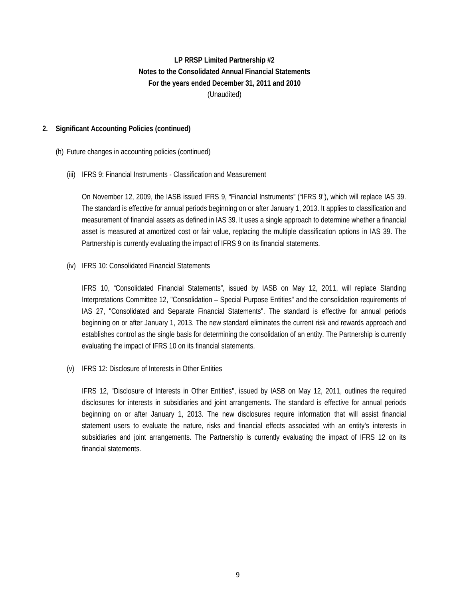## **2. Significant Accounting Policies (continued)**

#### (h) Future changes in accounting policies (continued)

### (iii) IFRS 9: Financial Instruments - Classification and Measurement

On November 12, 2009, the IASB issued IFRS 9, "Financial Instruments" ("IFRS 9"), which will replace IAS 39. The standard is effective for annual periods beginning on or after January 1, 2013. It applies to classification and measurement of financial assets as defined in IAS 39. It uses a single approach to determine whether a financial asset is measured at amortized cost or fair value, replacing the multiple classification options in IAS 39. The Partnership is currently evaluating the impact of IFRS 9 on its financial statements.

#### (iv) IFRS 10: Consolidated Financial Statements

IFRS 10, "Consolidated Financial Statements", issued by IASB on May 12, 2011, will replace Standing Interpretations Committee 12, "Consolidation – Special Purpose Entities" and the consolidation requirements of IAS 27, "Consolidated and Separate Financial Statements". The standard is effective for annual periods beginning on or after January 1, 2013. The new standard eliminates the current risk and rewards approach and establishes control as the single basis for determining the consolidation of an entity. The Partnership is currently evaluating the impact of IFRS 10 on its financial statements.

(v) IFRS 12: Disclosure of Interests in Other Entities

IFRS 12, "Disclosure of Interests in Other Entities", issued by IASB on May 12, 2011, outlines the required disclosures for interests in subsidiaries and joint arrangements. The standard is effective for annual periods beginning on or after January 1, 2013. The new disclosures require information that will assist financial statement users to evaluate the nature, risks and financial effects associated with an entity's interests in subsidiaries and joint arrangements. The Partnership is currently evaluating the impact of IFRS 12 on its financial statements.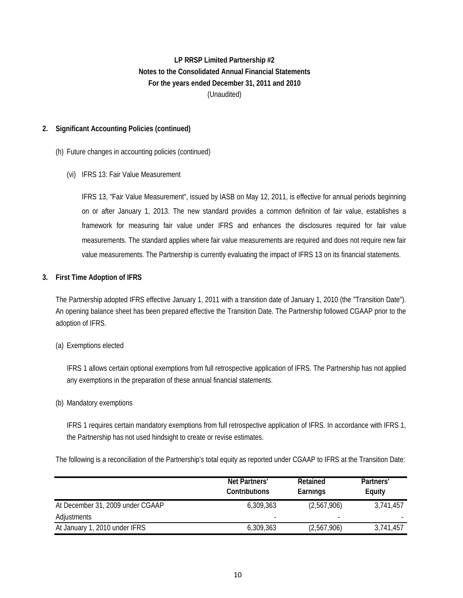# **For the years ended December 31, 2011 and 2010** (Unaudited) **LP RRSP Limited Partnership #2 Notes to the Consolidated Annual Financial Statements**

## **2. Significant Accounting Policies (continued)**

#### (h) Future changes in accounting policies (continued)

(vi) IFRS 13: Fair Value Measurement

IFRS 13, "Fair Value Measurement", issued by IASB on May 12, 2011, is effective for annual periods beginning on or after January 1, 2013. The new standard provides a common definition of fair value, establishes a framework for measuring fair value under IFRS and enhances the disclosures required for fair value measurements. The standard applies where fair value measurements are required and does not require new fair value measurements. The Partnership is currently evaluating the impact of IFRS 13 on its financial statements.

#### **3. First Time Adoption of IFRS**

The Partnership adopted IFRS effective January 1, 2011 with a transition date of January 1, 2010 (the "Transition Date"). An opening balance sheet has been prepared effective the Transition Date. The Partnership followed CGAAP prior to the adoption of IFRS.

#### (a) Exemptions elected

IFRS 1 allows certain optional exemptions from full retrospective application of IFRS. The Partnership has not applied any exemptions in the preparation of these annual financial statements.

#### (b) Mandatory exemptions

IFRS 1 requires certain mandatory exemptions from full retrospective application of IFRS. In accordance with IFRS 1, the Partnership has not used hindsight to create or revise estimates.

The following is a reconciliation of the Partnership's total equity as reported under CGAAP to IFRS at the Transition Date:

|                                  | Net Partners'<br><b>Contributions</b> | Retained<br>Earnings     | Partners'<br>Equity |
|----------------------------------|---------------------------------------|--------------------------|---------------------|
| At December 31, 2009 under CGAAP | 6,309,363                             | (2,567,906)              | 3,741,457           |
| Adjustments                      |                                       | $\overline{\phantom{a}}$ |                     |
| At January 1, 2010 under IFRS    | 6,309,363                             | (2,567,906)              | 3,741,457           |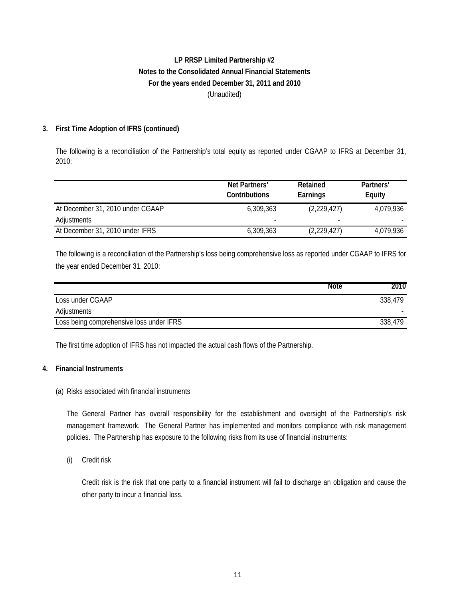## **3. First Time Adoption of IFRS (continued)**

The following is a reconciliation of the Partnership's total equity as reported under CGAAP to IFRS at December 31, 2010:

|                                  | Net Partners'<br><b>Contributions</b> | <b>Retained</b><br>Earnings | Partners'<br>Equity |
|----------------------------------|---------------------------------------|-----------------------------|---------------------|
| At December 31, 2010 under CGAAP | 6.309.363                             | (2,229,427)                 | 4,079,936           |
| Adjustments                      |                                       | $\overline{\phantom{a}}$    |                     |
| At December 31, 2010 under IFRS  | 6,309,363                             | (2,229,427)                 | 4,079,936           |

The following is a reconciliation of the Partnership's loss being comprehensive loss as reported under CGAAP to IFRS for the year ended December 31, 2010:

|                                          | <b>Note</b> | 2010    |
|------------------------------------------|-------------|---------|
| Loss under CGAAP                         |             | 338.479 |
| Adjustments                              |             |         |
| Loss being comprehensive loss under IFRS |             | 338,479 |

The first time adoption of IFRS has not impacted the actual cash flows of the Partnership.

### **4. Financial Instruments**

(a) Risks associated with financial instruments

The General Partner has overall responsibility for the establishment and oversight of the Partnership's risk management framework. The General Partner has implemented and monitors compliance with risk management policies. The Partnership has exposure to the following risks from its use of financial instruments:

(i) Credit risk

Credit risk is the risk that one party to a financial instrument will fail to discharge an obligation and cause the other party to incur a financial loss.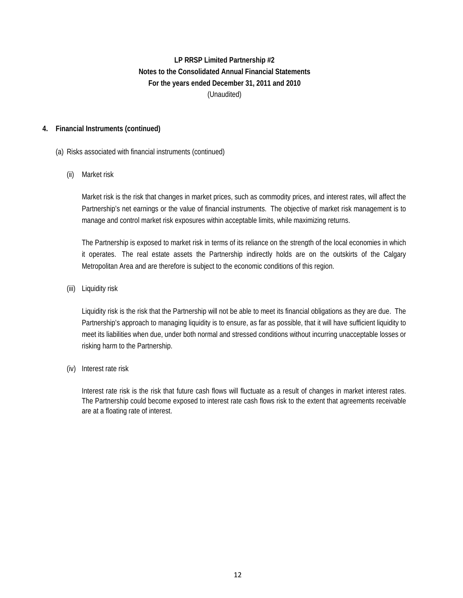## **4. Financial Instruments (continued)**

### (a) Risks associated with financial instruments (continued)

### (ii) Market risk

Market risk is the risk that changes in market prices, such as commodity prices, and interest rates, will affect the Partnership's net earnings or the value of financial instruments. The objective of market risk management is to manage and control market risk exposures within acceptable limits, while maximizing returns.

The Partnership is exposed to market risk in terms of its reliance on the strength of the local economies in which it operates. The real estate assets the Partnership indirectly holds are on the outskirts of the Calgary Metropolitan Area and are therefore is subject to the economic conditions of this region.

(iii) Liquidity risk

Liquidity risk is the risk that the Partnership will not be able to meet its financial obligations as they are due. The Partnership's approach to managing liquidity is to ensure, as far as possible, that it will have sufficient liquidity to meet its liabilities when due, under both normal and stressed conditions without incurring unacceptable losses or risking harm to the Partnership.

(iv) Interest rate risk

Interest rate risk is the risk that future cash flows will fluctuate as a result of changes in market interest rates. The Partnership could become exposed to interest rate cash flows risk to the extent that agreements receivable are at a floating rate of interest.